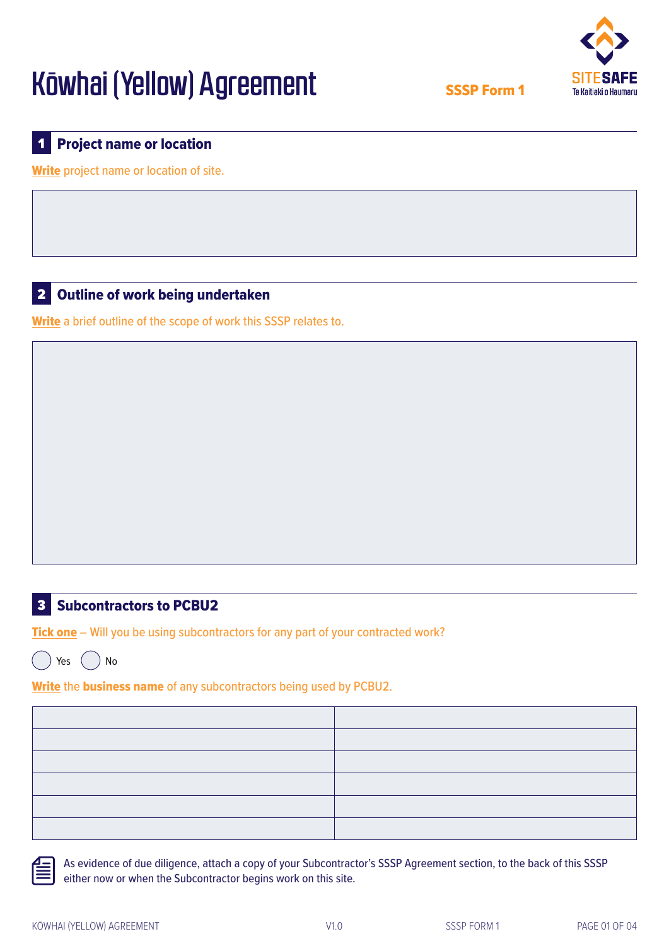

SSSP Form 1

#### **Project name or location** 1

Write project name or location of site.

#### Outline of work being undertaken 2

Write a brief outline of the scope of work this SSSP relates to.

## **B** Subcontractors to PCBU2

Tick one – Will you be using subcontractors for any part of your contracted work?

Yes  $($   $)$  No

Write the business name of any subcontractors being used by PCBU2.

 As evidence of due diligence, attach a copy of your Subcontractor's SSSP Agreement section, to the back of this SSSP either now or when the Subcontractor begins work on this site.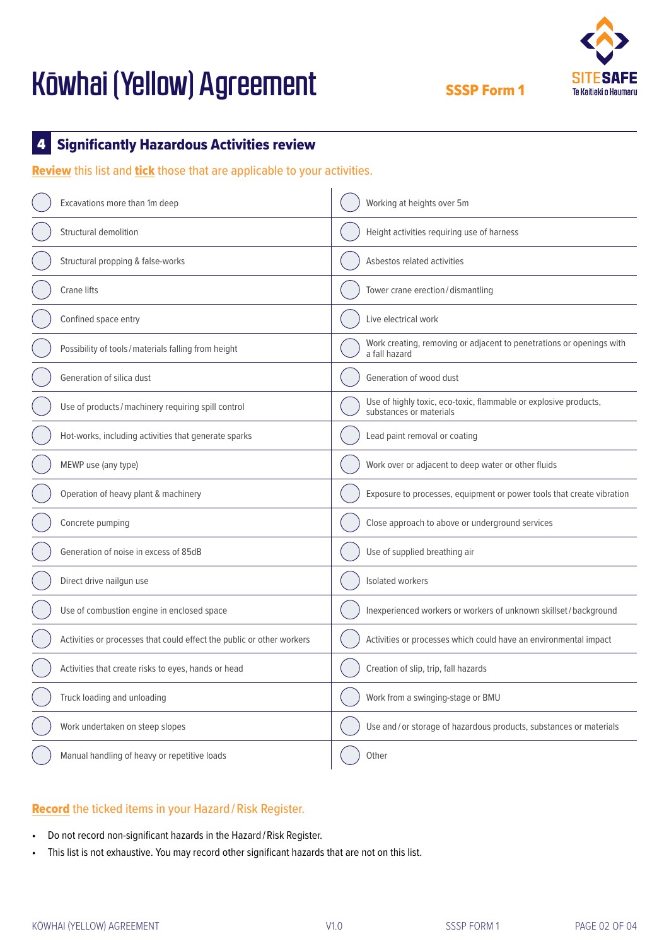

SSSP Form 1

#### Significantly Hazardous Activities review 4

Review this list and tick those that are applicable to your activities.

| Excavations more than 1m deep                                         | Working at heights over 5m                                                                  |  |  |  |
|-----------------------------------------------------------------------|---------------------------------------------------------------------------------------------|--|--|--|
| Structural demolition                                                 | Height activities requiring use of harness                                                  |  |  |  |
| Structural propping & false-works                                     | Asbestos related activities                                                                 |  |  |  |
| <b>Crane lifts</b>                                                    | Tower crane erection/dismantling                                                            |  |  |  |
| Confined space entry                                                  | Live electrical work                                                                        |  |  |  |
| Possibility of tools/materials falling from height                    | Work creating, removing or adjacent to penetrations or openings with<br>a fall hazard       |  |  |  |
| Generation of silica dust                                             | Generation of wood dust                                                                     |  |  |  |
| Use of products/machinery requiring spill control                     | Use of highly toxic, eco-toxic, flammable or explosive products,<br>substances or materials |  |  |  |
| Hot-works, including activities that generate sparks                  | Lead paint removal or coating                                                               |  |  |  |
| MEWP use (any type)                                                   | Work over or adjacent to deep water or other fluids                                         |  |  |  |
| Operation of heavy plant & machinery                                  | Exposure to processes, equipment or power tools that create vibration                       |  |  |  |
| Concrete pumping                                                      | Close approach to above or underground services                                             |  |  |  |
| Generation of noise in excess of 85dB                                 | Use of supplied breathing air                                                               |  |  |  |
| Direct drive nailgun use                                              | Isolated workers                                                                            |  |  |  |
| Use of combustion engine in enclosed space                            | Inexperienced workers or workers of unknown skillset/background                             |  |  |  |
| Activities or processes that could effect the public or other workers | Activities or processes which could have an environmental impact                            |  |  |  |
| Activities that create risks to eyes, hands or head                   | Creation of slip, trip, fall hazards                                                        |  |  |  |
| Truck loading and unloading                                           | Work from a swinging-stage or BMU                                                           |  |  |  |
| Work undertaken on steep slopes                                       | Use and/or storage of hazardous products, substances or materials                           |  |  |  |
| Manual handling of heavy or repetitive loads                          | Other                                                                                       |  |  |  |

### Record the ticked items in your Hazard / Risk Register.

- Do not record non-significant hazards in the Hazard/Risk Register.
- This list is not exhaustive. You may record other significant hazards that are not on this list.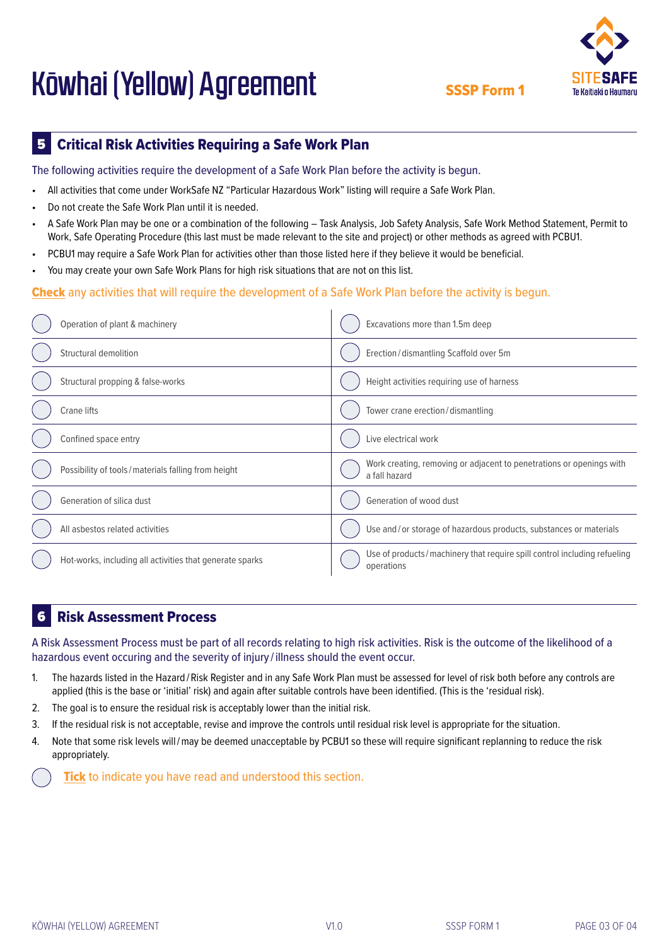SSSP Form 1

#### Critical Risk Activities Requiring a Safe Work Plan 5

The following activities require the development of a Safe Work Plan before the activity is begun.

- All activities that come under WorkSafe NZ "Particular Hazardous Work" listing will require a Safe Work Plan.
- Do not create the Safe Work Plan until it is needed.
- A Safe Work Plan may be one or a combination of the following Task Analysis, Job Safety Analysis, Safe Work Method Statement, Permit to Work, Safe Operating Procedure (this last must be made relevant to the site and project) or other methods as agreed with PCBU1.
- PCBU1 may require a Safe Work Plan for activities other than those listed here if they believe it would be beneficial.
- You may create your own Safe Work Plans for high risk situations that are not on this list.

### Check any activities that will require the development of a Safe Work Plan before the activity is begun.

| Operation of plant & machinery                           | Excavations more than 1.5m deep                                                        |  |  |
|----------------------------------------------------------|----------------------------------------------------------------------------------------|--|--|
| Structural demolition                                    | Erection/dismantling Scaffold over 5m                                                  |  |  |
| Structural propping & false-works                        | Height activities requiring use of harness                                             |  |  |
| Crane lifts                                              | Tower crane erection/dismantling                                                       |  |  |
| Confined space entry                                     | Live electrical work                                                                   |  |  |
| Possibility of tools/materials falling from height       | Work creating, removing or adjacent to penetrations or openings with<br>a fall hazard  |  |  |
| Generation of silica dust                                | Generation of wood dust                                                                |  |  |
| All asbestos related activities                          | Use and/or storage of hazardous products, substances or materials                      |  |  |
| Hot-works, including all activities that generate sparks | Use of products/machinery that require spill control including refueling<br>operations |  |  |

#### Risk Assessment Process 6

A Risk Assessment Process must be part of all records relating to high risk activities. Risk is the outcome of the likelihood of a hazardous event occuring and the severity of injury / illness should the event occur.

- 1. The hazards listed in the Hazard / Risk Register and in any Safe Work Plan must be assessed for level of risk both before any controls are applied (this is the base or 'initial' risk) and again after suitable controls have been identified. (This is the 'residual risk).
- 2. The goal is to ensure the residual risk is acceptably lower than the initial risk.
- 3. If the residual risk is not acceptable, revise and improve the controls until residual risk level is appropriate for the situation.
- 4. Note that some risk levels will / may be deemed unacceptable by PCBU1 so these will require significant replanning to reduce the risk appropriately.

Tick to indicate you have read and understood this section.